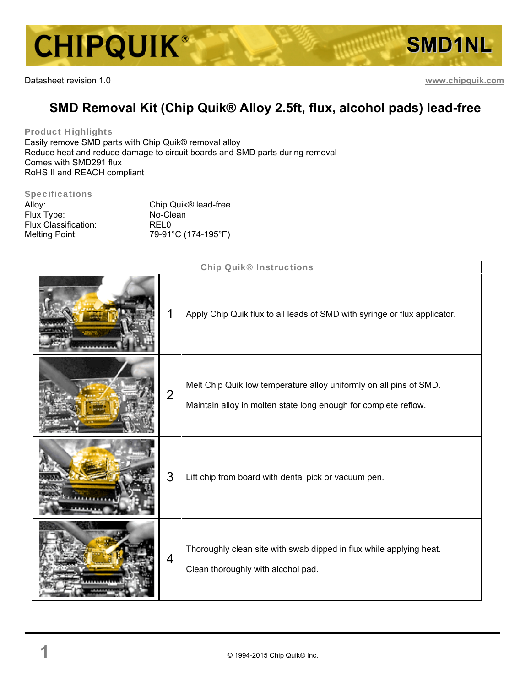

Datasheet revision 1.0 **www.chipquik.com**

# **SMD Removal Kit (Chip Quik® Alloy 2.5ft, flux, alcohol pads) lead-free**

Product Highlights

Easily remove SMD parts with Chip Quik® removal alloy Reduce heat and reduce damage to circuit boards and SMD parts during removal Comes with SMD291 flux RoHS II and REACH compliant

#### Specifications

| Alloy:               | Chip Quik <sup>®</sup> lead-free |
|----------------------|----------------------------------|
| Flux Type:           | No-Clean                         |
| Flux Classification: | <b>RELO</b>                      |
| Melting Point:       | 79-91°C (174-195°F)              |

| Chip Quik <sup>®</sup> Instructions |                |                                                                                                                                       |
|-------------------------------------|----------------|---------------------------------------------------------------------------------------------------------------------------------------|
|                                     |                | Apply Chip Quik flux to all leads of SMD with syringe or flux applicator.                                                             |
|                                     | $\overline{2}$ | Melt Chip Quik low temperature alloy uniformly on all pins of SMD.<br>Maintain alloy in molten state long enough for complete reflow. |
|                                     | 3              | Lift chip from board with dental pick or vacuum pen.                                                                                  |
|                                     | 4              | Thoroughly clean site with swab dipped in flux while applying heat.<br>Clean thoroughly with alcohol pad.                             |